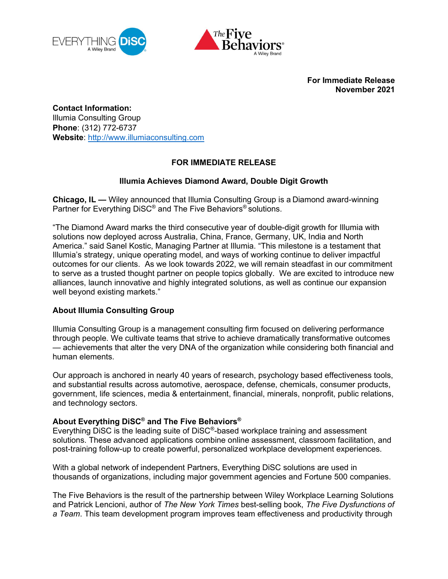



For Immediate Release November 2021

Contact Information: Illumia Consulting Group Phone: (312) 772-6737 Website: http://www.illumiaconsulting.com

## FOR IMMEDIATE RELEASE

## Illumia Achieves Diamond Award, Double Digit Growth

Chicago, IL — Wiley announced that Illumia Consulting Group is a Diamond award-winning Partner for Everything DiSC® and The Five Behaviors® solutions.

"The Diamond Award marks the third consecutive year of double-digit growth for Illumia with solutions now deployed across Australia, China, France, Germany, UK, India and North America." said Sanel Kostic, Managing Partner at Illumia. "This milestone is a testament that Illumia's strategy, unique operating model, and ways of working continue to deliver impactful outcomes for our clients. As we look towards 2022, we will remain steadfast in our commitment to serve as a trusted thought partner on people topics globally. We are excited to introduce new alliances, launch innovative and highly integrated solutions, as well as continue our expansion well beyond existing markets."

## About Illumia Consulting Group

Illumia Consulting Group is a management consulting firm focused on delivering performance through people. We cultivate teams that strive to achieve dramatically transformative outcomes — achievements that alter the very DNA of the organization while considering both financial and human elements.

Our approach is anchored in nearly 40 years of research, psychology based effectiveness tools, and substantial results across automotive, aerospace, defense, chemicals, consumer products, government, life sciences, media & entertainment, financial, minerals, nonprofit, public relations, and technology sectors.

## About Everything DiSC® and The Five Behaviors®

Everything DiSC is the leading suite of DiSC®-based workplace training and assessment solutions. These advanced applications combine online assessment, classroom facilitation, and post-training follow-up to create powerful, personalized workplace development experiences.

With a global network of independent Partners, Everything DiSC solutions are used in thousands of organizations, including major government agencies and Fortune 500 companies.

The Five Behaviors is the result of the partnership between Wiley Workplace Learning Solutions and Patrick Lencioni, author of The New York Times best-selling book, The Five Dysfunctions of a Team. This team development program improves team effectiveness and productivity through